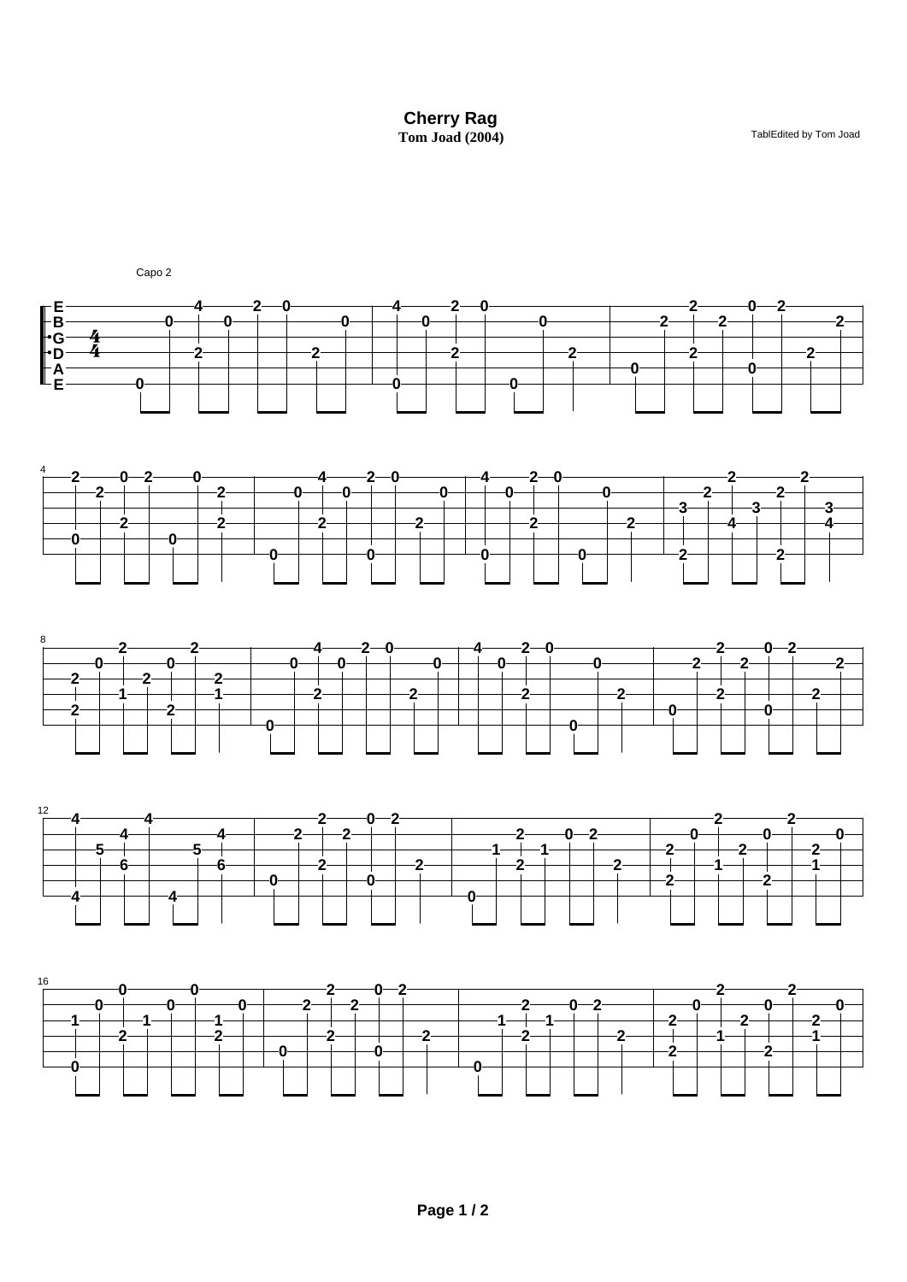**Cherry Rag**  Tom Joad (2004) **TablEdited by Tom Joad**